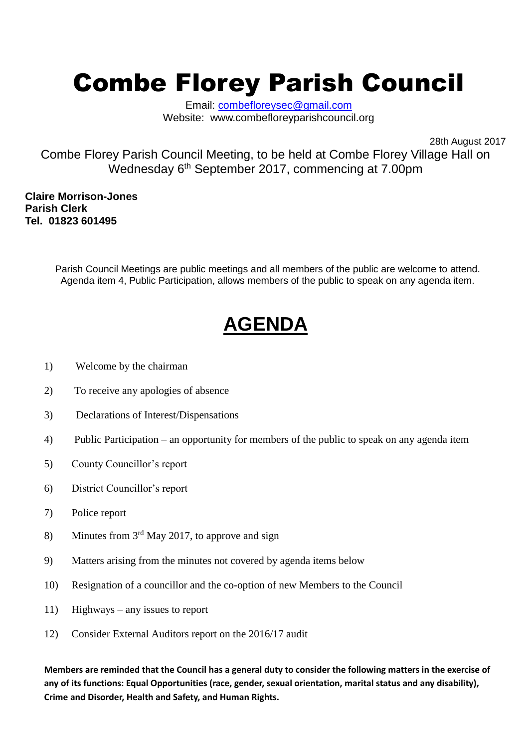## Combe Florey Parish Council

Email: [combefloreysec@gmail.com](mailto:combefloreysec@gmail.com) Website: www.combefloreyparishcouncil.org

28th August 2017

Combe Florey Parish Council Meeting, to be held at Combe Florey Village Hall on Wednesday 6<sup>th</sup> September 2017, commencing at 7.00pm

**Claire Morrison-Jones Parish Clerk Tel. 01823 601495**

> Parish Council Meetings are public meetings and all members of the public are welcome to attend. Agenda item 4, Public Participation, allows members of the public to speak on any agenda item.

## **AGENDA**

- 1) Welcome by the chairman
- 2) To receive any apologies of absence
- 3) Declarations of Interest/Dispensations
- 4) Public Participation an opportunity for members of the public to speak on any agenda item
- 5) County Councillor's report
- 6) District Councillor's report
- 7) Police report
- 8) Minutes from  $3<sup>rd</sup>$  May 2017, to approve and sign
- 9) Matters arising from the minutes not covered by agenda items below
- 10) Resignation of a councillor and the co-option of new Members to the Council
- 11) Highways any issues to report
- 12) Consider External Auditors report on the 2016/17 audit

**Members are reminded that the Council has a general duty to consider the following matters in the exercise of any of its functions: Equal Opportunities (race, gender, sexual orientation, marital status and any disability), Crime and Disorder, Health and Safety, and Human Rights.**